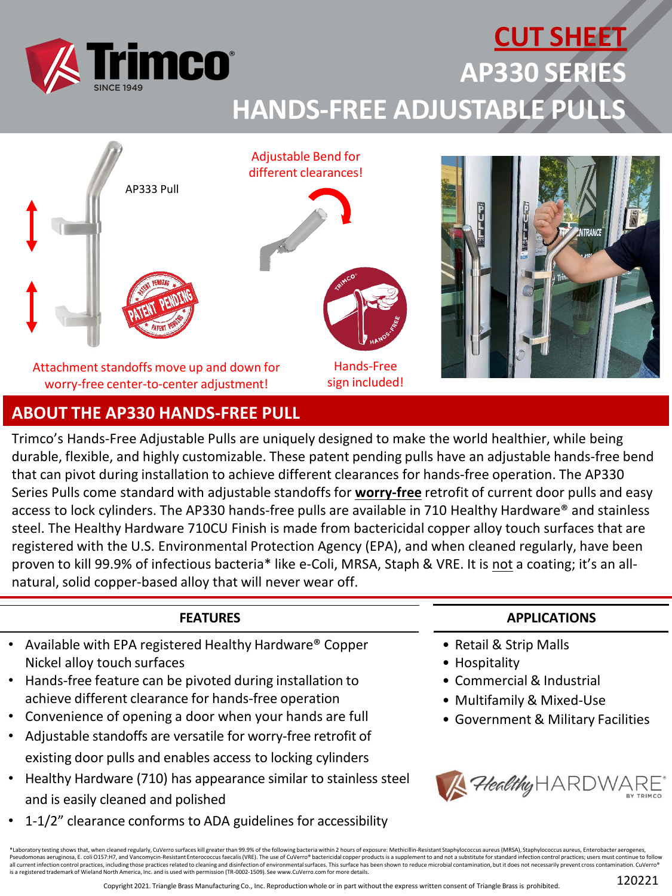

### **CUT SHEET AP330 SERIES HANDS-FREE ADJUSTABLE PULLS**



**ABOUT THE AP330 HANDS-FREE PULL**

Trimco's Hands-Free Adjustable Pulls are uniquely designed to make the world healthier, while being durable, flexible, and highly customizable. These patent pending pulls have an adjustable hands-free bend that can pivot during installation to achieve different clearances for hands-free operation. The AP330 Series Pulls come standard with adjustable standoffs for **worry-free** retrofit of current door pulls and easy access to lock cylinders. The AP330 hands-free pulls are available in 710 Healthy Hardware® and stainless steel. The Healthy Hardware 710CU Finish is made from bactericidal copper alloy touch surfaces that are registered with the U.S. Environmental Protection Agency (EPA), and when cleaned regularly, have been proven to kill 99.9% of infectious bacteria\* like e-Coli, MRSA, Staph & VRE. It is not a coating; it's an allnatural, solid copper-based alloy that will never wear off.

### **FEATURES**

- Available with EPA registered Healthy Hardware® Copper Nickel alloy touch surfaces
- Hands-free feature can be pivoted during installation to achieve different clearance for hands-free operation
- Convenience of opening a door when your hands are full
- Adjustable standoffs are versatile for worry-free retrofit of existing door pulls and enables access to locking cylinders
- Healthy Hardware (710) has appearance similar to stainless steel and is easily cleaned and polished
- 1-1/2" clearance conforms to ADA guidelines for accessibility

### **APPLICATIONS**

- Retail & Strip Malls
- Hospitality
- Commercial & Industrial
- Multifamily & Mixed-Use
- Government & Military Facilities



\*Laboratory testing shows that, when cleaned regularly, CuVerro surfaces kill greater than 99.9% of the following bacteria within 2 hours of exposure: Methicillin-Resistant Staphylococcus aureus (MRSA), Staphylococcus aure all current infection control practices, including those practices related to cleaning and disinfection of environmental surfaces. This surface has been shown to reduce microbial contamination, but it does not necessarily is a registered trademark of Wieland North America, Inc. and is used with permission (TR-0002-1509). See www.CuVerro.com for more details.